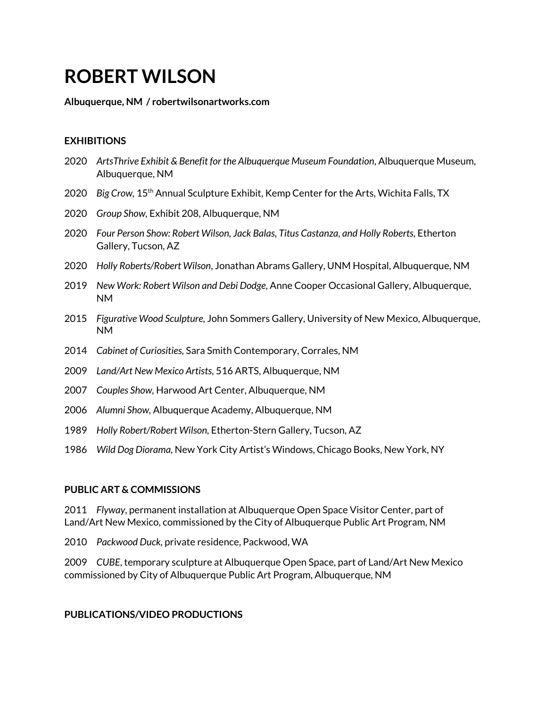# **ROBERT WILSON**

#### **Albuquerque, NM / robertwilsonartworks.com**

## **EXHIBITIONS**

- 2020 *ArtsThrive Exhibit & Benefit for the Albuquerque Museum Foundation*, Albuquerque Museum, Albuquerque, NM
- 2020 Big Crow, 15<sup>th</sup> Annual Sculpture Exhibit, Kemp Center for the Arts, Wichita Falls, TX
- 2020 *Group Show,* Exhibit 208, Albuquerque, NM
- 2020 *Four Person Show: Robert Wilson, Jack Balas, Titus Castanza, and Holly Roberts,* Etherton Gallery, Tucson, AZ
- 2020 *Holly Roberts/Robert Wilson*, Jonathan Abrams Gallery, UNM Hospital, Albuquerque, NM
- 2019 *New Work: Robert Wilson and Debi Dodge*, Anne Cooper Occasional Gallery, Albuquerque, NM
- 2015 *Figurative Wood Sculpture,* John Sommers Gallery, University of New Mexico, Albuquerque, NM
- 2014 *Cabinet of Curiosities,* Sara Smith Contemporary, Corrales, NM
- 2009 *Land/Art New Mexico Artists,* 516 ARTS, Albuquerque, NM
- 2007 *Couples Show,* Harwood Art Center, Albuquerque, NM
- 2006 *Alumni Show,* Albuquerque Academy, Albuquerque, NM
- 1989 *Holly Robert/Robert Wilson,* Etherton-Stern Gallery, Tucson, AZ
- 1986 *Wild Dog Diorama,* New York City Artist's Windows, Chicago Books, New York, NY

### **PUBLIC ART & COMMISSIONS**

2011 *Flyway*, permanent installation at Albuquerque Open Space Visitor Center, part of Land/Art New Mexico, commissioned by the City of Albuquerque Public Art Program, NM

2010 *Packwood Duck,* private residence, Packwood, WA

2009 *CUBE*, temporary sculpture at Albuquerque Open Space, part of Land/Art New Mexico commissioned by City of Albuquerque Public Art Program, Albuquerque, NM

### **PUBLICATIONS/VIDEO PRODUCTIONS**